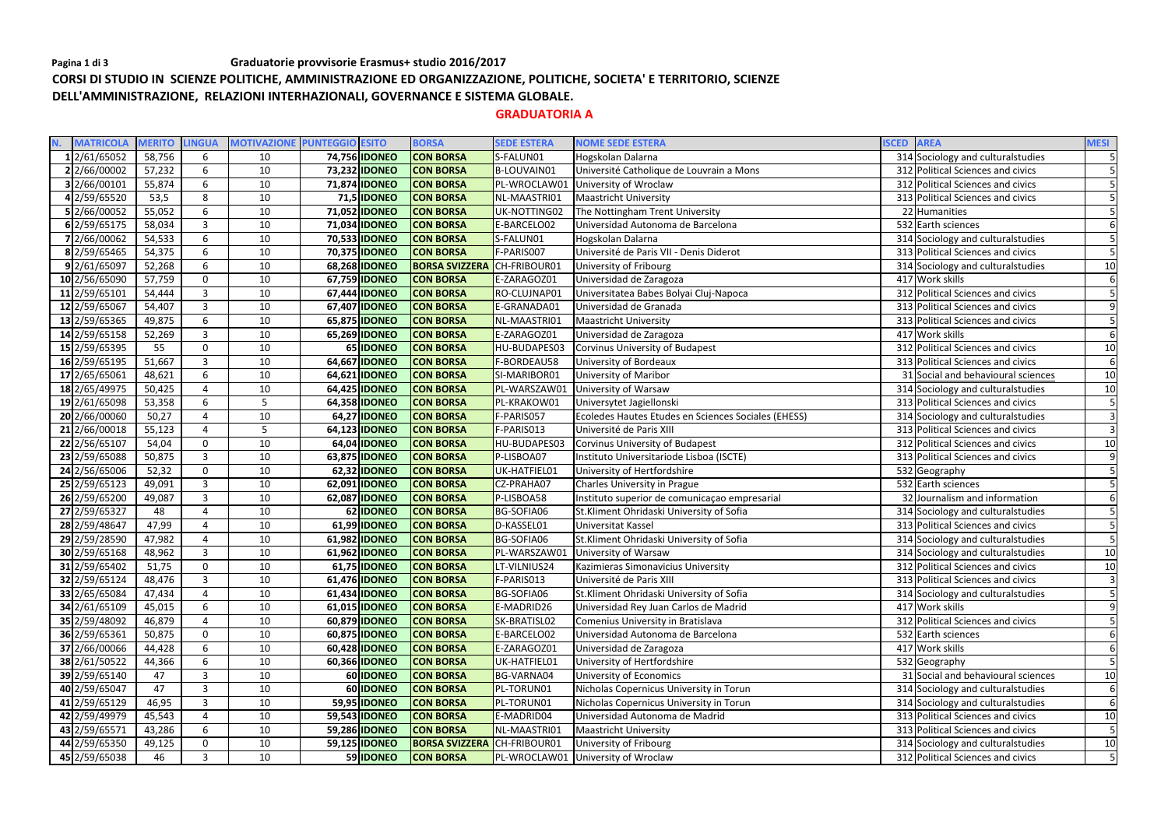# **CORSI DI STUDIO IN SCIENZE POLITICHE, AMMINISTRAZIONE ED ORGANIZZAZIONE, POLITICHE, SOCIETA' E TERRITORIO, SCIENZE DELL'AMMINISTRAZIONE, RELAZIONI INTERHAZIONALI, GOVERNANCE E SISTEMA GLOBALE.**

## **GRADUATORIA A**

| <b>MATRICOLA</b> | <b>MERITO</b> | <b>LINGUA</b>  |    | <b>MOTIVAZIONE PUNTEGGIO ESITO</b> | <b>BORSA</b>          | <b>SEDE ESTERA</b> | <b>NOME SEDE ESTERA</b>                             | <b>ISCED</b> | <b>AREA</b>                        | <b>MESI</b>      |
|------------------|---------------|----------------|----|------------------------------------|-----------------------|--------------------|-----------------------------------------------------|--------------|------------------------------------|------------------|
| 1 2/61/65052     | 58,756        | 6              | 10 | 74,756 IDONEO                      | <b>CON BORSA</b>      | S-FALUN01          | Hogskolan Dalarna                                   |              | 314 Sociology and culturalstudies  | 5 <sup>1</sup>   |
| 2 2/66/00002     | 57,232        | 6              | 10 | 73,232 IDONEO                      | <b>CON BORSA</b>      | B-LOUVAIN01        | Université Catholique de Louvrain a Mons            |              | 312 Political Sciences and civics  |                  |
| 3 2/66/00101     | 55,874        | 6              | 10 | 71,874 IDONEO                      | <b>CON BORSA</b>      | PL-WROCLAW01       | University of Wroclaw                               |              | 312 Political Sciences and civics  | 5                |
| 4 2/59/65520     | 53,5          | 8              | 10 | 71,5 IDONEO                        | <b>CON BORSA</b>      | NL-MAASTRI01       | Maastricht University                               |              | 313 Political Sciences and civics  |                  |
| 5 2/66/00052     | 55,052        | 6              | 10 | 71,052 IDONEO                      | <b>CON BORSA</b>      | UK-NOTTING02       | The Nottingham Trent University                     |              | 22 Humanities                      |                  |
| 6 2/59/65175     | 58,034        | $\overline{3}$ | 10 | 71,034 IDONEO                      | <b>CON BORSA</b>      | E-BARCELO02        | Universidad Autonoma de Barcelona                   |              | 532 Earth sciences                 | $6 \overline{6}$ |
| 7 2/66/00062     | 54,533        | 6              | 10 | 70,533 IDONEO                      | <b>CON BORSA</b>      | S-FALUN01          | Hogskolan Dalarna                                   |              | 314 Sociology and culturalstudies  |                  |
| 8 2/59/65465     | 54,375        | 6              | 10 | 70,375 IDONEO                      | <b>CON BORSA</b>      | F-PARIS007         | Université de Paris VII - Denis Diderot             |              | 313 Political Sciences and civics  |                  |
| 9 2/61/65097     | 52,268        | 6              | 10 | 68,268 IDONEO                      | <b>BORSA SVIZZERA</b> | CH-FRIBOUR01       | University of Fribourg                              |              | 314 Sociology and culturalstudies  | 10               |
| 10 2/56/65090    | 57,759        | $\Omega$       | 10 | 67,759 IDONEO                      | <b>CON BORSA</b>      | E-ZARAGOZ01        | Universidad de Zaragoza                             |              | 417 Work skills                    | 6                |
| 11 2/59/65101    | 54,444        | $\overline{3}$ | 10 | 67,444 <b>IDONEO</b>               | <b>CON BORSA</b>      | RO-CLUJNAP01       | Universitatea Babes Bolyai Cluj-Napoca              |              | 312 Political Sciences and civics  |                  |
| 12 2/59/65067    | 54,407        | $\overline{3}$ | 10 | 67,407 <b>IDONEO</b>               | <b>CON BORSA</b>      | E-GRANADA01        | Universidad de Granada                              |              | 313 Political Sciences and civics  | $\overline{9}$   |
| 13 2/59/65365    | 49,875        | 6              | 10 | 65,875 IDONEO                      | <b>CON BORSA</b>      | NL-MAASTRI01       | <b>Maastricht University</b>                        |              | 313 Political Sciences and civics  |                  |
| 14 2/59/65158    | 52,269        | 3              | 10 | 65,269 IDONEO                      | <b>CON BORSA</b>      | E-ZARAGOZ01        | Universidad de Zaragoza                             |              | 417 Work skills                    | 6                |
| 15 2/59/65395    | 55            | $\mathbf{0}$   | 10 | 65 IDONEO                          | <b>CON BORSA</b>      | HU-BUDAPES03       | Corvinus University of Budapest                     |              | 312 Political Sciences and civics  | 10               |
| 16 2/59/65195    | 51,667        | 3              | 10 | 64,667 IDONEO                      | <b>CON BORSA</b>      | F-BORDEAU58        | University of Bordeaux                              |              | 313 Political Sciences and civics  | $6 \overline{6}$ |
| 17 2/65/65061    | 48,621        | 6              | 10 | 64,621 <b>IDONEO</b>               | <b>CON BORSA</b>      | SI-MARIBOR01       | University of Maribor                               |              | 31 Social and behavioural sciences | 10               |
| 18 2/65/49975    | 50,425        | 4              | 10 | 64,425 IDONEO                      | <b>CON BORSA</b>      | PL-WARSZAW01       | University of Warsaw                                |              | 314 Sociology and culturalstudies  | 10               |
| 19 2/61/65098    | 53,358        | 6              | 5  | 64,358 IDONEO                      | <b>CON BORSA</b>      | PL-KRAKOW01        | Universytet Jagiellonski                            |              | 313 Political Sciences and civics  | 5                |
| 20 2/66/00060    | 50,27         | 4              | 10 | 64,27 <b>IDONEO</b>                | <b>CON BORSA</b>      | F-PARIS057         | Ecoledes Hautes Etudes en Sciences Sociales (EHESS) |              | 314 Sociology and culturalstudies  | 3                |
| 21 2/66/00018    | 55,123        | 4              | 5  | 64,123 IDONEO                      | <b>CON BORSA</b>      | F-PARIS013         | Université de Paris XIII                            |              | 313 Political Sciences and civics  | $\overline{3}$   |
| 22 2/56/65107    | 54,04         | $\mathbf 0$    | 10 | 64,04 IDONEO                       | <b>CON BORSA</b>      | HU-BUDAPES03       | Corvinus University of Budapest                     |              | 312 Political Sciences and civics  | 10               |
| 23 2/59/65088    | 50,875        | $\overline{3}$ | 10 | 63,875 <b>IDONEO</b>               | <b>CON BORSA</b>      | P-LISBOA07         | Instituto Universitariode Lisboa (ISCTE)            |              | 313 Political Sciences and civics  | 9                |
| 24 2/56/65006    | 52,32         | $\Omega$       | 10 | 62,32 IDONEO                       | <b>CON BORSA</b>      | UK-HATFIEL01       | University of Hertfordshire                         |              | 532 Geography                      |                  |
| 25 2/59/65123    | 49,091        | $\overline{3}$ | 10 | 62,091 IDONEO                      | <b>CON BORSA</b>      | CZ-PRAHA07         | Charles University in Prague                        |              | 532 Earth sciences                 |                  |
| 26 2/59/65200    | 49,087        | 3              | 10 | 62,087 IDONEO                      | <b>CON BORSA</b>      | P-LISBOA58         | Instituto superior de comunicação empresarial       |              | 32 Journalism and information      | 6                |
| 27 2/59/65327    | 48            |                | 10 | 62 IDONEO                          | <b>CON BORSA</b>      | <b>BG-SOFIA06</b>  | St.Kliment Ohridaski University of Sofia            |              | 314 Sociology and cultural studies |                  |
| 28 2/59/48647    | 47,99         | 4              | 10 | 61,99 IDONEO                       | <b>CON BORSA</b>      | D-KASSEL01         | Universitat Kassel                                  |              | 313 Political Sciences and civics  | 5                |
| 29 2/59/28590    | 47,982        | 4              | 10 | 61,982 IDONEO                      | <b>CON BORSA</b>      | <b>BG-SOFIA06</b>  | St.Kliment Ohridaski University of Sofia            |              | 314 Sociology and culturalstudies  |                  |
| 30 2/59/65168    | 48,962        | 3              | 10 | 61,962 IDONEO                      | <b>CON BORSA</b>      | PL-WARSZAW01       | University of Warsaw                                |              | 314 Sociology and culturalstudies  | 10               |
| 31 2/59/65402    | 51,75         | $\mathbf{0}$   | 10 | 61,75 IDONEO                       | <b>CON BORSA</b>      | LT-VILNIUS24       | Kazimieras Simonavicius University                  |              | 312 Political Sciences and civics  | 10               |
| 32 2/59/65124    | 48,476        | 3              | 10 | 61,476 <b>IDONEO</b>               | <b>CON BORSA</b>      | F-PARIS013         | Université de Paris XIII                            |              | 313 Political Sciences and civics  | 3                |
| 33 2/65/65084    | 47,434        |                | 10 | 61,434 <b>IDONEO</b>               | <b>CON BORSA</b>      | BG-SOFIA06         | St.Kliment Ohridaski University of Sofia            |              | 314 Sociology and cultural studies | 5 <sup>1</sup>   |
| 34 2/61/65109    | 45,015        | 6              | 10 | 61,015 <b>IDONEO</b>               | <b>CON BORSA</b>      | E-MADRID26         | Universidad Rey Juan Carlos de Madrid               |              | 417 Work skills                    | 9                |
| 35 2/59/48092    | 46,879        |                | 10 | 60,879 <b>IDONEO</b>               | <b>CON BORSA</b>      | SK-BRATISL02       | Comenius University in Bratislava                   |              | 312 Political Sciences and civics  |                  |
| 36 2/59/65361    | 50,875        | $\mathbf{0}$   | 10 | 60,875 <b>IDONEO</b>               | <b>CON BORSA</b>      | E-BARCELO02        | Universidad Autonoma de Barcelona                   |              | 532 Earth sciences                 | 6                |
| 37 2/66/00066    | 44,428        | 6              | 10 | 60,428 <b>IDONEO</b>               | <b>CON BORSA</b>      | E-ZARAGOZ01        | Universidad de Zaragoza                             |              | 417 Work skills                    | 6                |
| 38 2/61/50522    | 44,366        | 6              | 10 | 60,366 <b>IDONEO</b>               | <b>CON BORSA</b>      | UK-HATFIEL01       | University of Hertfordshire                         |              | 532 Geography                      | 5 <sup>1</sup>   |
| 39 2/59/65140    | 47            | 3              | 10 | 60 <b>IDONEO</b>                   | <b>CON BORSA</b>      | BG-VARNA04         | University of Economics                             |              | 31 Social and behavioural sciences | 10               |
| 40 2/59/65047    | 47            | 3              | 10 | 60 <b>IDONEO</b>                   | <b>CON BORSA</b>      | PL-TORUN01         | Nicholas Copernicus University in Torun             |              | 314 Sociology and culturalstudies  | 6                |
| 41 2/59/65129    | 46,95         | $\overline{3}$ | 10 | 59,95 <b>IDONEO</b>                | <b>CON BORSA</b>      | PL-TORUN01         | Nicholas Copernicus University in Torun             |              | 314 Sociology and cultural studies | 6                |
| 42 2/59/49979    | 45,543        |                | 10 | 59,543 <b>IDONEO</b>               | <b>CON BORSA</b>      | E-MADRID04         | Universidad Autonoma de Madrid                      |              | 313 Political Sciences and civics  | 10               |
| 43 2/59/65571    | 43,286        | 6              | 10 | 59,286 <b>IDONEO</b>               | <b>CON BORSA</b>      | NL-MAASTRI01       | <b>Maastricht University</b>                        |              | 313 Political Sciences and civics  |                  |
| 44 2/59/65350    | 49,125        | $\Omega$       | 10 | 59,125 <b>IDONEO</b>               | <b>BORSA SVIZZERA</b> | CH-FRIBOUR01       | University of Fribourg                              |              | 314 Sociology and culturalstudies  | 10               |
| 45 2/59/65038    | 46            |                | 10 | 59 IDONEO                          | <b>CON BORSA</b>      |                    | PL-WROCLAW01 University of Wroclaw                  |              | 312 Political Sciences and civics  | $5\overline{)}$  |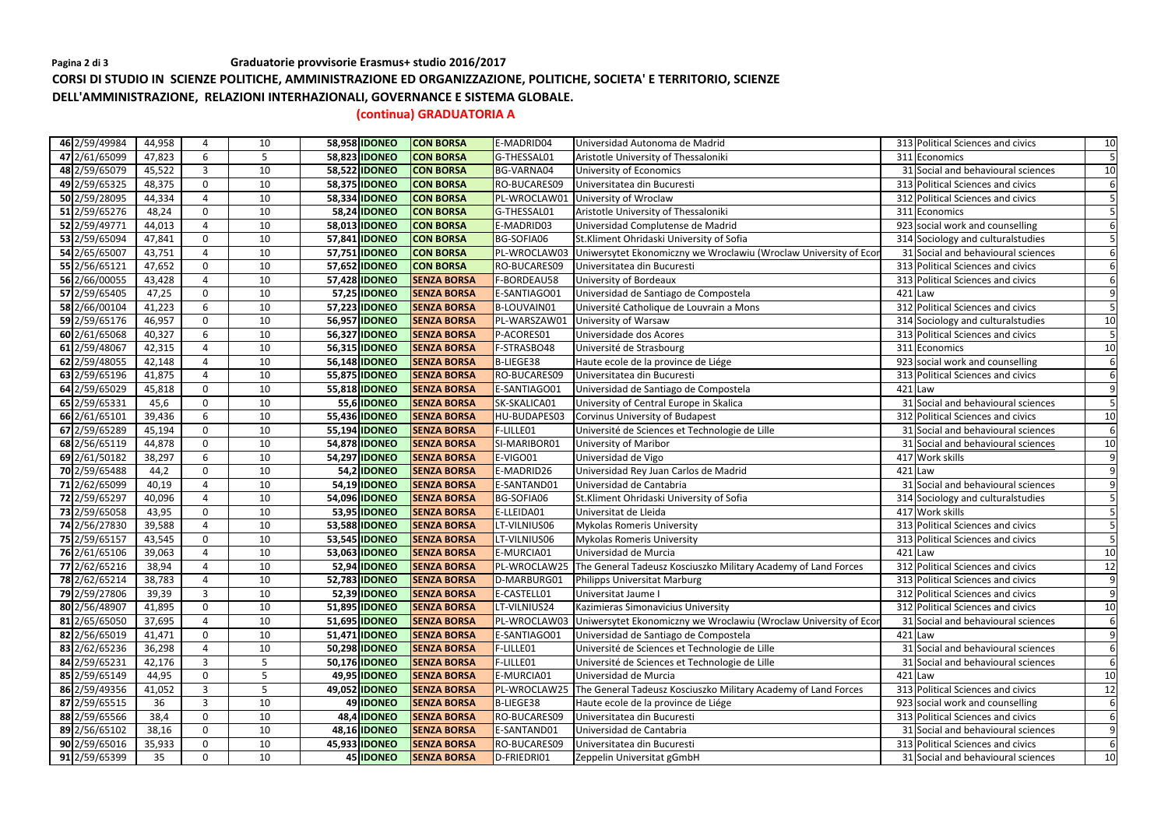## Pagina 2 di 3 **Graduatorie provvisorie Erasmus+ studio** 2016/2017

**CORSI DI STUDIO IN SCIENZE POLITICHE, AMMINISTRAZIONE ED ORGANIZZAZIONE, POLITICHE, SOCIETA' E TERRITORIO, SCIENZE DELL'AMMINISTRAZIONE, RELAZIONI INTERHAZIONALI, GOVERNANCE E SISTEMA GLOBALE.** 

**(continua) GRADUATORIA A** 

| 46 2/59/49984 | 44,958 | 4              | 10 | 58,958 IDONEO        | <b>CON BORSA</b>   | E-MADRID04        | Universidad Autonoma de Madrid                                              | 313 Political Sciences and civics  | 10               |
|---------------|--------|----------------|----|----------------------|--------------------|-------------------|-----------------------------------------------------------------------------|------------------------------------|------------------|
| 47 2/61/65099 | 47,823 | 6              | 5  | 58,823 IDONEO        | <b>CON BORSA</b>   | G-THESSAL01       | Aristotle University of Thessaloniki                                        | 311 Economics                      |                  |
| 48 2/59/65079 | 45,522 | 3              | 10 | 58,522 IDONEO        | <b>CON BORSA</b>   | BG-VARNA04        | University of Economics                                                     | 31 Social and behavioural sciences | 10               |
| 49 2/59/65325 | 48,375 | $\mathbf{0}$   | 10 | 58,375 <b>IDONEO</b> | <b>CON BORSA</b>   | RO-BUCARES09      | Universitatea din Bucuresti                                                 | 313 Political Sciences and civics  | 6                |
| 50 2/59/28095 | 44,334 |                | 10 | 58,334 IDONEO        | <b>CON BORSA</b>   | PL-WROCLAW01      | University of Wroclaw                                                       | 312 Political Sciences and civics  |                  |
| 51 2/59/65276 | 48,24  | $\mathbf 0$    | 10 | 58,24 <b>IDONEO</b>  | <b>CON BORSA</b>   | G-THESSAL01       | Aristotle University of Thessaloniki                                        | 311 Economics                      |                  |
| 52 2/59/49771 | 44,013 | 4              | 10 | 58,013 <b>IDONEO</b> | <b>CON BORSA</b>   | E-MADRID03        | Universidad Complutense de Madrid                                           | 923 social work and counselling    | 6                |
| 53 2/59/65094 | 47,841 | $\mathbf 0$    | 10 | 57,841 <b>IDONEO</b> | <b>CON BORSA</b>   | <b>BG-SOFIA06</b> | St.Kliment Ohridaski University of Sofia                                    | 314 Sociology and culturalstudies  |                  |
| 54 2/65/65007 | 43,751 | Δ              | 10 | 57,751 <b>IDONEO</b> | <b>CON BORSA</b>   | PL-WROCLAW03      | Uniwersytet Ekonomiczny we Wroclawiu (Wroclaw University of Econ            | 31 Social and behavioural sciences |                  |
| 55 2/56/65121 | 47,652 | $\mathbf{0}$   | 10 | 57,652 IDONEO        | <b>CON BORSA</b>   | RO-BUCARES09      | Universitatea din Bucuresti                                                 | 313 Political Sciences and civics  |                  |
| 56 2/66/00055 | 43,428 | 4              | 10 | 57,428 <b>IDONEO</b> | <b>SENZA BORSA</b> | F-BORDEAU58       | University of Bordeaux                                                      | 313 Political Sciences and civics  | 6                |
| 57 2/59/65405 | 47,25  | $\mathbf 0$    | 10 | 57,25 IDONEO         | <b>SENZA BORSA</b> | E-SANTIAGO01      | Universidad de Santiago de Compostela                                       | $421$ Law                          | 9                |
| 58 2/66/00104 | 41,223 | 6              | 10 | 57,223 IDONEO        | <b>SENZA BORSA</b> | B-LOUVAIN01       | Université Catholique de Louvrain a Mons                                    | 312 Political Sciences and civics  |                  |
| 59 2/59/65176 | 46,957 | $\mathbf 0$    | 10 | 56,957 IDONEO        | <b>SENZA BORSA</b> | PL-WARSZAW01      | University of Warsaw                                                        | 314 Sociology and culturalstudies  | 10               |
| 60 2/61/65068 | 40,327 | 6              | 10 | 56,327 IDONEO        | <b>SENZA BORSA</b> | P-ACORES01        | Universidade dos Acores                                                     | 313 Political Sciences and civics  |                  |
| 61 2/59/48067 | 42,315 |                | 10 | 56,315 <b>IDONEO</b> | <b>SENZA BORSA</b> | F-STRASBO48       | Université de Strasbourg                                                    | 311 Economics                      | 10               |
| 62 2/59/48055 | 42,148 | 4              | 10 | 56,148 <b>IDONEO</b> | <b>SENZA BORSA</b> | B-LIEGE38         | Haute ecole de la province de Liége                                         | 923 social work and counselling    | $6 \overline{6}$ |
| 63 2/59/65196 | 41,875 | 4              | 10 | 55,875 <b>IDONEO</b> | <b>SENZA BORSA</b> | RO-BUCARES09      | Universitatea din Bucuresti                                                 | 313 Political Sciences and civics  | 6                |
| 64 2/59/65029 | 45,818 | $\mathbf{0}$   | 10 | 55,818 <b>IDONEO</b> | <b>SENZA BORSA</b> | E-SANTIAGO01      | Universidad de Santiago de Compostela                                       | $421$ Law                          | $\overline{9}$   |
| 65 2/59/65331 | 45,6   | $\mathbf{0}$   | 10 | 55,6 <b>IDONEO</b>   | <b>SENZA BORSA</b> | SK-SKALICA01      | University of Central Europe in Skalica                                     | 31 Social and behavioural sciences | 5                |
| 66 2/61/65101 | 39,436 | 6              | 10 | 55,436 <b>IDONEO</b> | <b>SENZA BORSA</b> | HU-BUDAPES03      | Corvinus University of Budapest                                             | 312 Political Sciences and civics  | 10               |
| 67 2/59/65289 | 45,194 | $\mathbf 0$    | 10 | 55,194 <b>IDONEO</b> | <b>SENZA BORSA</b> | F-LILLE01         | Université de Sciences et Technologie de Lille                              | 31 Social and behavioural sciences | 6                |
| 68 2/56/65119 | 44,878 | $\mathbf{0}$   | 10 | 54,878 <b>IDONEO</b> | <b>SENZA BORSA</b> | SI-MARIBOR01      | University of Maribor                                                       | 31 Social and behavioural sciences | 10               |
| 69 2/61/50182 | 38,297 | 6              | 10 | 54,297 <b>IDONEO</b> | <b>SENZA BORSA</b> | E-VIGO01          | Universidad de Vigo                                                         | 417 Work skills                    | $\overline{9}$   |
| 70 2/59/65488 | 44,2   | $\mathbf 0$    | 10 | 54,2 IDONEO          | <b>SENZA BORSA</b> | E-MADRID26        | Universidad Rey Juan Carlos de Madrid                                       | $421$ Law                          | $\overline{9}$   |
| 71 2/62/65099 | 40,19  | 4              | 10 | 54,19 <b>IDONEO</b>  | <b>SENZA BORSA</b> | E-SANTAND01       | Universidad de Cantabria                                                    | 31 Social and behavioural sciences | 9                |
| 72 2/59/65297 | 40,096 |                | 10 | 54,096 <b>IDONEO</b> | <b>SENZA BORSA</b> | <b>BG-SOFIA06</b> | St.Kliment Ohridaski University of Sofia                                    | 314 Sociology and culturalstudies  |                  |
| 73 2/59/65058 | 43,95  | $\mathbf 0$    | 10 | 53,95 IDONEO         | <b>SENZA BORSA</b> | E-LLEIDA01        | Universitat de Lleida                                                       | 417 Work skills                    | 5                |
| 74 2/56/27830 | 39,588 | 4              | 10 | 53,588 IDONEO        | <b>SENZA BORSA</b> | LT-VILNIUS06      | <b>Mykolas Romeris University</b>                                           | 313 Political Sciences and civics  |                  |
| 75 2/59/65157 | 43,545 | $\mathbf 0$    | 10 | 53,545 <b>IDONEO</b> | <b>SENZA BORSA</b> | LT-VILNIUS06      | <b>Mykolas Romeris University</b>                                           | 313 Political Sciences and civics  |                  |
| 76 2/61/65106 | 39,063 |                | 10 | 53,063 IDONEO        | <b>SENZA BORSA</b> | E-MURCIA01        | Universidad de Murcia                                                       | $421$ Law                          | 10               |
| 77 2/62/65216 | 38,94  | 4              | 10 | 52,94 <b>IDONEO</b>  | <b>SENZA BORSA</b> |                   | PL-WROCLAW25 The General Tadeusz Kosciuszko Military Academy of Land Forces | 312 Political Sciences and civics  | 12               |
| 78 2/62/65214 | 38,783 |                | 10 | 52,783 <b>IDONEO</b> | <b>SENZA BORSA</b> | D-MARBURG01       | Philipps Universitat Marburg                                                | 313 Political Sciences and civics  | 9                |
| 79 2/59/27806 | 39,39  | $\overline{3}$ | 10 | 52,39 <b>IDONEO</b>  | <b>SENZA BORSA</b> | E-CASTELL01       | Universitat Jaume I                                                         | 312 Political Sciences and civics  | $\overline{9}$   |
| 80 2/56/48907 | 41,895 | $\overline{0}$ | 10 | 51,895 <b>IDONEO</b> | <b>SENZA BORSA</b> | LT-VILNIUS24      | Kazimieras Simonavicius University                                          | 312 Political Sciences and civics  | 10               |
| 81 2/65/65050 | 37,695 |                | 10 | 51,695 <b>IDONEO</b> | <b>SENZA BORSA</b> | PL-WROCLAW03      | Uniwersytet Ekonomiczny we Wroclawiu (Wroclaw University of Econ            | 31 Social and behavioural sciences | 6                |
| 82 2/56/65019 | 41,471 | $\Omega$       | 10 | 51,471 <b>IDONEO</b> | <b>SENZA BORSA</b> | E-SANTIAGO01      | Universidad de Santiago de Compostela                                       | $421$ Law                          | $\overline{9}$   |
| 83 2/62/65236 | 36,298 |                | 10 | 50,298 <b>IDONEO</b> | <b>SENZA BORSA</b> | F-LILLE01         | Université de Sciences et Technologie de Lille                              | 31 Social and behavioural sciences | 6                |
| 84 2/59/65231 | 42,176 | $\overline{3}$ | 5  | 50,176 <b>IDONEO</b> | <b>SENZA BORSA</b> | F-LILLE01         | Université de Sciences et Technologie de Lille                              | 31 Social and behavioural sciences | $6 \overline{6}$ |
| 85 2/59/65149 | 44,95  | $\Omega$       | 5  | 49,95 <b>IDONEO</b>  | <b>SENZA BORSA</b> | E-MURCIA01        | Universidad de Murcia                                                       | $421$ Law                          | 10               |
| 86 2/59/49356 | 41,052 |                | 5  | 49,052 <b>IDONEO</b> | <b>SENZA BORSA</b> | PL-WROCLAW25      | The General Tadeusz Kosciuszko Military Academy of Land Forces              | 313 Political Sciences and civics  | 12               |
| 87 2/59/65515 | 36     | 3              | 10 | 49 IDONEO            | <b>SENZA BORSA</b> | B-LIEGE38         | Haute ecole de la province de Liége                                         | 923 social work and counselling    | $6 \overline{6}$ |
| 88 2/59/65566 | 38,4   | $\Omega$       | 10 | 48,4 <b>IDONEO</b>   | <b>SENZA BORSA</b> | RO-BUCARES09      | Universitatea din Bucuresti                                                 | 313 Political Sciences and civics  | 6                |
| 89 2/56/65102 | 38,16  | $\Omega$       | 10 | 48,16 <b>IDONEO</b>  | <b>SENZA BORSA</b> | E-SANTAND01       | Universidad de Cantabria                                                    | 31 Social and behavioural sciences | 9                |
| 90 2/59/65016 | 35,933 | $\mathbf{0}$   | 10 | 45,933 <b>IDONEO</b> | <b>SENZA BORSA</b> | RO-BUCARES09      | Universitatea din Bucuresti                                                 | 313 Political Sciences and civics  | 6                |
| 91 2/59/65399 | 35     | $\Omega$       | 10 | 45 <b>IDONEO</b>     | <b>SENZA BORSA</b> | D-FRIEDRI01       | Zeppelin Universitat gGmbH                                                  | 31 Social and behavioural sciences | 10               |